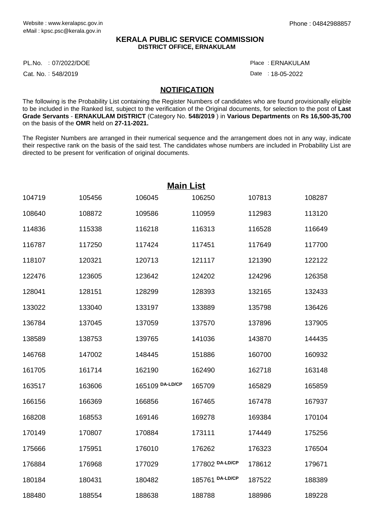## **KERALA PUBLIC SERVICE COMMISSION DISTRICT OFFICE, ERNAKULAM**

PL.No. :07/2022/DOE Place

Cat. No.: 548/2019

ERNAKULAM :

Date : 18-05-2022

## **NOTIFICATION**

The following is the Probability List containing the Register Numbers of candidates who are found provisionally eligible to be included in the Ranked list, subject to the verification of the Original documents, for selection to the post of **Last Grade Servants** - **ERNAKULAM DISTRICT** (Category No. **548/2019** ) in **Various Departments** on **Rs 16,500-35,700** on the basis of the **OMR** held on **27-11-2021.**

The Register Numbers are arranged in their numerical sequence and the arrangement does not in any way, indicate their respective rank on the basis of the said test. The candidates whose numbers are included in Probability List are directed to be present for verification of original documents.

| <b>Main List</b> |        |                 |                 |        |        |  |  |
|------------------|--------|-----------------|-----------------|--------|--------|--|--|
| 104719           | 105456 | 106045          | 106250          | 107813 | 108287 |  |  |
| 108640           | 108872 | 109586          | 110959          | 112983 | 113120 |  |  |
| 114836           | 115338 | 116218          | 116313          | 116528 | 116649 |  |  |
| 116787           | 117250 | 117424          | 117451          | 117649 | 117700 |  |  |
| 118107           | 120321 | 120713          | 121117          | 121390 | 122122 |  |  |
| 122476           | 123605 | 123642          | 124202          | 124296 | 126358 |  |  |
| 128041           | 128151 | 128299          | 128393          | 132165 | 132433 |  |  |
| 133022           | 133040 | 133197          | 133889          | 135798 | 136426 |  |  |
| 136784           | 137045 | 137059          | 137570          | 137896 | 137905 |  |  |
| 138589           | 138753 | 139765          | 141036          | 143870 | 144435 |  |  |
| 146768           | 147002 | 148445          | 151886          | 160700 | 160932 |  |  |
| 161705           | 161714 | 162190          | 162490          | 162718 | 163148 |  |  |
| 163517           | 163606 | 165109 DA-LD/CP | 165709          | 165829 | 165859 |  |  |
| 166156           | 166369 | 166856          | 167465          | 167478 | 167937 |  |  |
| 168208           | 168553 | 169146          | 169278          | 169384 | 170104 |  |  |
| 170149           | 170807 | 170884          | 173111          | 174449 | 175256 |  |  |
| 175666           | 175951 | 176010          | 176262          | 176323 | 176504 |  |  |
| 176884           | 176968 | 177029          | 177802 DA-LD/CP | 178612 | 179671 |  |  |
| 180184           | 180431 | 180482          | 185761 DA-LD/CP | 187522 | 188389 |  |  |
| 188480           | 188554 | 188638          | 188788          | 188986 | 189228 |  |  |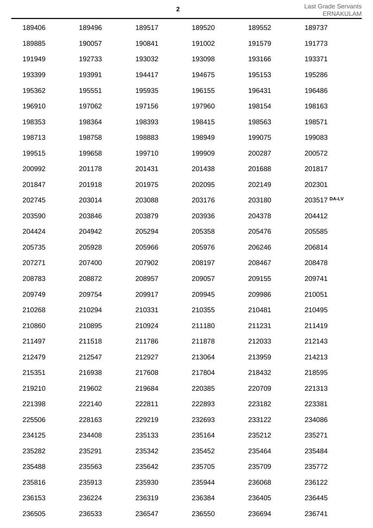| 189406 | 189496 | 189517 | 189520 | 189552 | 189737       |
|--------|--------|--------|--------|--------|--------------|
| 189885 | 190057 | 190841 | 191002 | 191579 | 191773       |
| 191949 | 192733 | 193032 | 193098 | 193166 | 193371       |
| 193399 | 193991 | 194417 | 194675 | 195153 | 195286       |
| 195362 | 195551 | 195935 | 196155 | 196431 | 196486       |
| 196910 | 197062 | 197156 | 197960 | 198154 | 198163       |
| 198353 | 198364 | 198393 | 198415 | 198563 | 198571       |
| 198713 | 198758 | 198883 | 198949 | 199075 | 199083       |
| 199515 | 199658 | 199710 | 199909 | 200287 | 200572       |
| 200992 | 201178 | 201431 | 201438 | 201688 | 201817       |
| 201847 | 201918 | 201975 | 202095 | 202149 | 202301       |
| 202745 | 203014 | 203088 | 203176 | 203180 | 203517 DA-LV |
| 203590 | 203846 | 203879 | 203936 | 204378 | 204412       |
| 204424 | 204942 | 205294 | 205358 | 205476 | 205585       |
| 205735 | 205928 | 205966 | 205976 | 206246 | 206814       |
| 207271 | 207400 | 207902 | 208197 | 208467 | 208478       |
| 208783 | 208872 | 208957 | 209057 | 209155 | 209741       |
| 209749 | 209754 | 209917 | 209945 | 209986 | 210051       |
| 210268 | 210294 | 210331 | 210355 | 210481 | 210495       |
| 210860 | 210895 | 210924 | 211180 | 211231 | 211419       |
| 211497 | 211518 | 211786 | 211878 | 212033 | 212143       |
| 212479 | 212547 | 212927 | 213064 | 213959 | 214213       |
| 215351 | 216938 | 217608 | 217804 | 218432 | 218595       |
| 219210 | 219602 | 219684 | 220385 | 220709 | 221313       |
| 221398 | 222140 | 222811 | 222893 | 223182 | 223381       |
| 225506 | 228163 | 229219 | 232693 | 233122 | 234086       |
| 234125 | 234408 | 235133 | 235164 | 235212 | 235271       |
| 235282 | 235291 | 235342 | 235452 | 235464 | 235484       |
| 235488 | 235563 | 235642 | 235705 | 235709 | 235772       |
| 235816 | 235913 | 235930 | 235944 | 236068 | 236122       |
| 236153 | 236224 | 236319 | 236384 | 236405 | 236445       |
| 236505 | 236533 | 236547 | 236550 | 236694 | 236741       |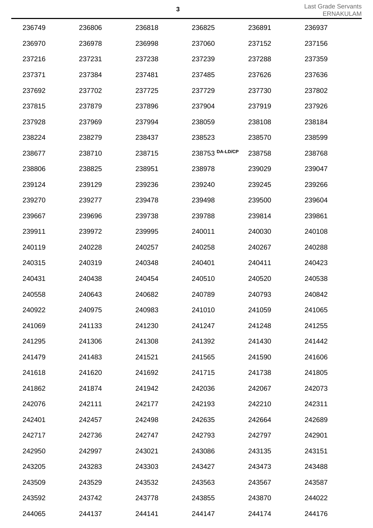|        |        |        |                 |        | LINT   |
|--------|--------|--------|-----------------|--------|--------|
| 236749 | 236806 | 236818 | 236825          | 236891 | 236937 |
| 236970 | 236978 | 236998 | 237060          | 237152 | 237156 |
| 237216 | 237231 | 237238 | 237239          | 237288 | 237359 |
| 237371 | 237384 | 237481 | 237485          | 237626 | 237636 |
| 237692 | 237702 | 237725 | 237729          | 237730 | 237802 |
| 237815 | 237879 | 237896 | 237904          | 237919 | 237926 |
| 237928 | 237969 | 237994 | 238059          | 238108 | 238184 |
| 238224 | 238279 | 238437 | 238523          | 238570 | 238599 |
| 238677 | 238710 | 238715 | 238753 DA-LD/CP | 238758 | 238768 |
| 238806 | 238825 | 238951 | 238978          | 239029 | 239047 |
| 239124 | 239129 | 239236 | 239240          | 239245 | 239266 |
| 239270 | 239277 | 239478 | 239498          | 239500 | 239604 |
| 239667 | 239696 | 239738 | 239788          | 239814 | 239861 |
| 239911 | 239972 | 239995 | 240011          | 240030 | 240108 |
| 240119 | 240228 | 240257 | 240258          | 240267 | 240288 |
| 240315 | 240319 | 240348 | 240401          | 240411 | 240423 |
| 240431 | 240438 | 240454 | 240510          | 240520 | 240538 |
| 240558 | 240643 | 240682 | 240789          | 240793 | 240842 |
| 240922 | 240975 | 240983 | 241010          | 241059 | 241065 |
| 241069 | 241133 | 241230 | 241247          | 241248 | 241255 |
| 241295 | 241306 | 241308 | 241392          | 241430 | 241442 |
| 241479 | 241483 | 241521 | 241565          | 241590 | 241606 |
| 241618 | 241620 | 241692 | 241715          | 241738 | 241805 |
| 241862 | 241874 | 241942 | 242036          | 242067 | 242073 |
| 242076 | 242111 | 242177 | 242193          | 242210 | 242311 |
| 242401 | 242457 | 242498 | 242635          | 242664 | 242689 |
| 242717 | 242736 | 242747 | 242793          | 242797 | 242901 |
| 242950 | 242997 | 243021 | 243086          | 243135 | 243151 |
| 243205 | 243283 | 243303 | 243427          | 243473 | 243488 |
| 243509 | 243529 | 243532 | 243563          | 243567 | 243587 |
| 243592 | 243742 | 243778 | 243855          | 243870 | 244022 |
| 244065 | 244137 | 244141 | 244147          | 244174 | 244176 |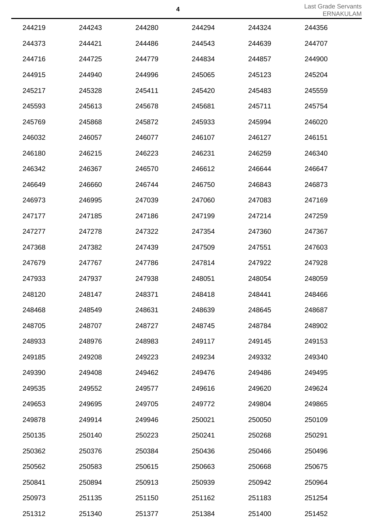|        |        |        |        |        | LIVIV  |
|--------|--------|--------|--------|--------|--------|
| 244219 | 244243 | 244280 | 244294 | 244324 | 244356 |
| 244373 | 244421 | 244486 | 244543 | 244639 | 244707 |
| 244716 | 244725 | 244779 | 244834 | 244857 | 244900 |
| 244915 | 244940 | 244996 | 245065 | 245123 | 245204 |
| 245217 | 245328 | 245411 | 245420 | 245483 | 245559 |
| 245593 | 245613 | 245678 | 245681 | 245711 | 245754 |
| 245769 | 245868 | 245872 | 245933 | 245994 | 246020 |
| 246032 | 246057 | 246077 | 246107 | 246127 | 246151 |
| 246180 | 246215 | 246223 | 246231 | 246259 | 246340 |
| 246342 | 246367 | 246570 | 246612 | 246644 | 246647 |
| 246649 | 246660 | 246744 | 246750 | 246843 | 246873 |
| 246973 | 246995 | 247039 | 247060 | 247083 | 247169 |
| 247177 | 247185 | 247186 | 247199 | 247214 | 247259 |
| 247277 | 247278 | 247322 | 247354 | 247360 | 247367 |
| 247368 | 247382 | 247439 | 247509 | 247551 | 247603 |
| 247679 | 247767 | 247786 | 247814 | 247922 | 247928 |
| 247933 | 247937 | 247938 | 248051 | 248054 | 248059 |
| 248120 | 248147 | 248371 | 248418 | 248441 | 248466 |
| 248468 | 248549 | 248631 | 248639 | 248645 | 248687 |
| 248705 | 248707 | 248727 | 248745 | 248784 | 248902 |
| 248933 | 248976 | 248983 | 249117 | 249145 | 249153 |
| 249185 | 249208 | 249223 | 249234 | 249332 | 249340 |
| 249390 | 249408 | 249462 | 249476 | 249486 | 249495 |
| 249535 | 249552 | 249577 | 249616 | 249620 | 249624 |
| 249653 | 249695 | 249705 | 249772 | 249804 | 249865 |
| 249878 | 249914 | 249946 | 250021 | 250050 | 250109 |
| 250135 | 250140 | 250223 | 250241 | 250268 | 250291 |
| 250362 | 250376 | 250384 | 250436 | 250466 | 250496 |
| 250562 | 250583 | 250615 | 250663 | 250668 | 250675 |
| 250841 | 250894 | 250913 | 250939 | 250942 | 250964 |
| 250973 | 251135 | 251150 | 251162 | 251183 | 251254 |
| 251312 | 251340 | 251377 | 251384 | 251400 | 251452 |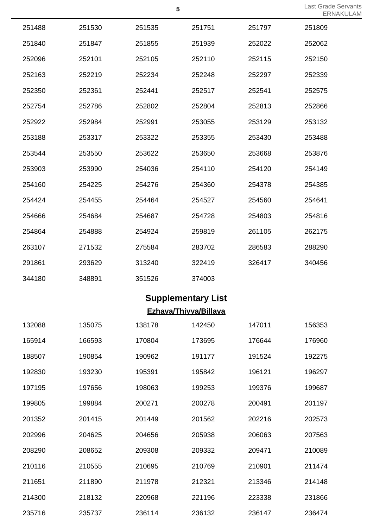|        |        |        | 5                         |        | Last Grade<br>ERN |
|--------|--------|--------|---------------------------|--------|-------------------|
| 251488 | 251530 | 251535 | 251751                    | 251797 | 251809            |
| 251840 | 251847 | 251855 | 251939                    | 252022 | 252062            |
| 252096 | 252101 | 252105 | 252110                    | 252115 | 252150            |
| 252163 | 252219 | 252234 | 252248                    | 252297 | 252339            |
| 252350 | 252361 | 252441 | 252517                    | 252541 | 252575            |
| 252754 | 252786 | 252802 | 252804                    | 252813 | 252866            |
| 252922 | 252984 | 252991 | 253055                    | 253129 | 253132            |
| 253188 | 253317 | 253322 | 253355                    | 253430 | 253488            |
| 253544 | 253550 | 253622 | 253650                    | 253668 | 253876            |
| 253903 | 253990 | 254036 | 254110                    | 254120 | 254149            |
| 254160 | 254225 | 254276 | 254360                    | 254378 | 254385            |
| 254424 | 254455 | 254464 | 254527                    | 254560 | 254641            |
| 254666 | 254684 | 254687 | 254728                    | 254803 | 254816            |
| 254864 | 254888 | 254924 | 259819                    | 261105 | 262175            |
| 263107 | 271532 | 275584 | 283702                    | 286583 | 288290            |
| 291861 | 293629 | 313240 | 322419                    | 326417 | 340456            |
| 344180 | 348891 | 351526 | 374003                    |        |                   |
|        |        |        | <b>Supplementary List</b> |        |                   |
|        |        |        | Ezhava/Thiyya/Billava     |        |                   |
| 132088 | 135075 | 138178 | 142450                    | 147011 | 156353            |

| 192000 | ט וטטטו | 190170 | 1424JU | 147 V L L | טטטטו  |
|--------|---------|--------|--------|-----------|--------|
| 165914 | 166593  | 170804 | 173695 | 176644    | 176960 |
| 188507 | 190854  | 190962 | 191177 | 191524    | 192275 |
| 192830 | 193230  | 195391 | 195842 | 196121    | 196297 |
| 197195 | 197656  | 198063 | 199253 | 199376    | 199687 |
| 199805 | 199884  | 200271 | 200278 | 200491    | 201197 |
| 201352 | 201415  | 201449 | 201562 | 202216    | 202573 |
| 202996 | 204625  | 204656 | 205938 | 206063    | 207563 |
| 208290 | 208652  | 209308 | 209332 | 209471    | 210089 |
| 210116 | 210555  | 210695 | 210769 | 210901    | 211474 |
| 211651 | 211890  | 211978 | 212321 | 213346    | 214148 |
| 214300 | 218132  | 220968 | 221196 | 223338    | 231866 |
| 235716 | 235737  | 236114 | 236132 | 236147    | 236474 |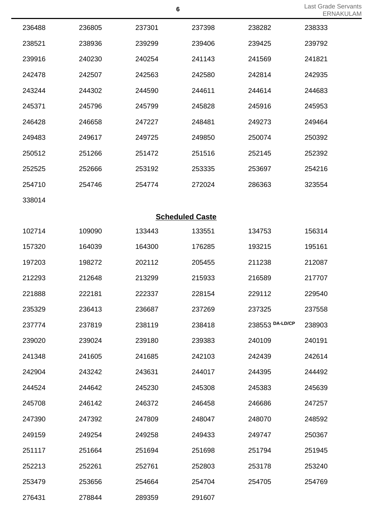| Last Grade Servants |  |  |
|---------------------|--|--|
| ERNAKULAM           |  |  |

|        |        |                        |        |                 | $-1$ $\vee$ $-1$ |
|--------|--------|------------------------|--------|-----------------|------------------|
| 236488 | 236805 | 237301                 | 237398 | 238282          | 238333           |
| 238521 | 238936 | 239299                 | 239406 | 239425          | 239792           |
| 239916 | 240230 | 240254                 | 241143 | 241569          | 241821           |
| 242478 | 242507 | 242563                 | 242580 | 242814          | 242935           |
| 243244 | 244302 | 244590                 | 244611 | 244614          | 244683           |
| 245371 | 245796 | 245799                 | 245828 | 245916          | 245953           |
| 246428 | 246658 | 247227                 | 248481 | 249273          | 249464           |
| 249483 | 249617 | 249725                 | 249850 | 250074          | 250392           |
| 250512 | 251266 | 251472                 | 251516 | 252145          | 252392           |
| 252525 | 252666 | 253192                 | 253335 | 253697          | 254216           |
| 254710 | 254746 | 254774                 | 272024 | 286363          | 323554           |
| 338014 |        |                        |        |                 |                  |
|        |        | <b>Scheduled Caste</b> |        |                 |                  |
| 102714 | 109090 | 133443                 | 133551 | 134753          | 156314           |
| 157320 | 164039 | 164300                 | 176285 | 193215          | 195161           |
| 197203 | 198272 | 202112                 | 205455 | 211238          | 212087           |
| 212293 | 212648 | 213299                 | 215933 | 216589          | 217707           |
| 221888 | 222181 | 222337                 | 228154 | 229112          | 229540           |
| 235329 | 236413 | 236687                 | 237269 | 237325          | 237558           |
| 237774 | 237819 | 238119                 | 238418 | 238553 DA-LD/CP | 238903           |
| 239020 | 239024 | 239180                 | 239383 | 240109          | 240191           |
| 241348 | 241605 | 241685                 | 242103 | 242439          | 242614           |
| 242904 | 243242 | 243631                 | 244017 | 244395          | 244492           |
| 244524 | 244642 | 245230                 | 245308 | 245383          | 245639           |
| 245708 | 246142 | 246372                 | 246458 | 246686          | 247257           |
| 247390 | 247392 | 247809                 | 248047 | 248070          | 248592           |
| 249159 | 249254 | 249258                 | 249433 | 249747          | 250367           |
| 251117 | 251664 | 251694                 | 251698 | 251794          | 251945           |
| 252213 | 252261 | 252761                 | 252803 | 253178          | 253240           |
| 253479 | 253656 | 254664                 | 254704 | 254705          | 254769           |
| 276431 | 278844 | 289359                 | 291607 |                 |                  |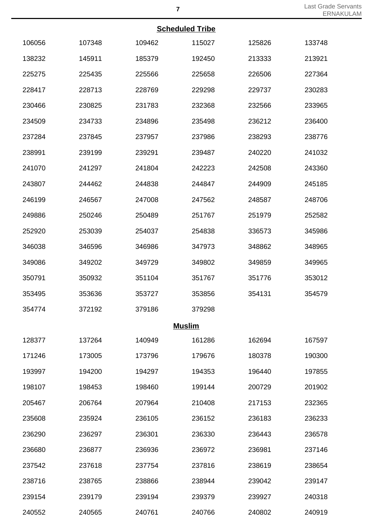## **Scheduled Tribe**

| <b>Scheduled Tribe</b> |        |               |        |        |        |  |  |
|------------------------|--------|---------------|--------|--------|--------|--|--|
| 106056                 | 107348 | 109462        | 115027 | 125826 | 133748 |  |  |
| 138232                 | 145911 | 185379        | 192450 | 213333 | 213921 |  |  |
| 225275                 | 225435 | 225566        | 225658 | 226506 | 227364 |  |  |
| 228417                 | 228713 | 228769        | 229298 | 229737 | 230283 |  |  |
| 230466                 | 230825 | 231783        | 232368 | 232566 | 233965 |  |  |
| 234509                 | 234733 | 234896        | 235498 | 236212 | 236400 |  |  |
| 237284                 | 237845 | 237957        | 237986 | 238293 | 238776 |  |  |
| 238991                 | 239199 | 239291        | 239487 | 240220 | 241032 |  |  |
| 241070                 | 241297 | 241804        | 242223 | 242508 | 243360 |  |  |
| 243807                 | 244462 | 244838        | 244847 | 244909 | 245185 |  |  |
| 246199                 | 246567 | 247008        | 247562 | 248587 | 248706 |  |  |
| 249886                 | 250246 | 250489        | 251767 | 251979 | 252582 |  |  |
| 252920                 | 253039 | 254037        | 254838 | 336573 | 345986 |  |  |
| 346038                 | 346596 | 346986        | 347973 | 348862 | 348965 |  |  |
| 349086                 | 349202 | 349729        | 349802 | 349859 | 349965 |  |  |
| 350791                 | 350932 | 351104        | 351767 | 351776 | 353012 |  |  |
| 353495                 | 353636 | 353727        | 353856 | 354131 | 354579 |  |  |
| 354774                 | 372192 | 379186        | 379298 |        |        |  |  |
|                        |        | <b>Muslim</b> |        |        |        |  |  |
| 128377                 | 137264 | 140949        | 161286 | 162694 | 167597 |  |  |
| 171246                 | 173005 | 173796        | 179676 | 180378 | 190300 |  |  |
| 193997                 | 194200 | 194297        | 194353 | 196440 | 197855 |  |  |
| 198107                 | 198453 | 198460        | 199144 | 200729 | 201902 |  |  |
| 205467                 | 206764 | 207964        | 210408 | 217153 | 232365 |  |  |
| 235608                 | 235924 | 236105        | 236152 | 236183 | 236233 |  |  |
| 236290                 | 236297 | 236301        | 236330 | 236443 | 236578 |  |  |
| 236680                 | 236877 | 236936        | 236972 | 236981 | 237146 |  |  |
| 237542                 | 237618 | 237754        | 237816 | 238619 | 238654 |  |  |
| 238716                 | 238765 | 238866        | 238944 | 239042 | 239147 |  |  |
| 239154                 | 239179 | 239194        | 239379 | 239927 | 240318 |  |  |
| 240552                 | 240565 | 240761        | 240766 | 240802 | 240919 |  |  |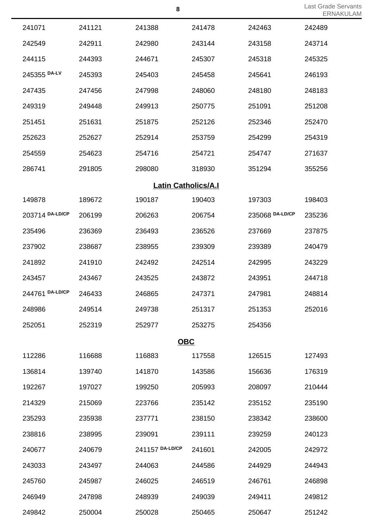|                 |        |                            |        |                 | <b>LIVI</b> |
|-----------------|--------|----------------------------|--------|-----------------|-------------|
| 241071          | 241121 | 241388                     | 241478 | 242463          | 242489      |
| 242549          | 242911 | 242980                     | 243144 | 243158          | 243714      |
| 244115          | 244393 | 244671                     | 245307 | 245318          | 245325      |
| 245355 DA-LV    | 245393 | 245403                     | 245458 | 245641          | 246193      |
| 247435          | 247456 | 247998                     | 248060 | 248180          | 248183      |
| 249319          | 249448 | 249913                     | 250775 | 251091          | 251208      |
| 251451          | 251631 | 251875                     | 252126 | 252346          | 252470      |
| 252623          | 252627 | 252914                     | 253759 | 254299          | 254319      |
| 254559          | 254623 | 254716                     | 254721 | 254747          | 271637      |
| 286741          | 291805 | 298080                     | 318930 | 351294          | 355256      |
|                 |        | <b>Latin Catholics/A.I</b> |        |                 |             |
| 149878          | 189672 | 190187                     | 190403 | 197303          | 198403      |
| 203714 DA-LD/CP | 206199 | 206263                     | 206754 | 235068 DA-LD/CP | 235236      |
| 235496          | 236369 | 236493                     | 236526 | 237669          | 237875      |
| 237902          | 238687 | 238955                     | 239309 | 239389          | 240479      |
| 241892          | 241910 | 242492                     | 242514 | 242995          | 243229      |
| 243457          | 243467 | 243525                     | 243872 | 243951          | 244718      |
| 244761 DA-LD/CP | 246433 | 246865                     | 247371 | 247981          | 248814      |
| 248986          | 249514 | 249738                     | 251317 | 251353          | 252016      |
| 252051          | 252319 | 252977                     | 253275 | 254356          |             |
|                 |        | <b>OBC</b>                 |        |                 |             |
| 112286          | 116688 | 116883                     | 117558 | 126515          | 127493      |
| 136814          | 139740 | 141870                     | 143586 | 156636          | 176319      |
| 192267          | 197027 | 199250                     | 205993 | 208097          | 210444      |
| 214329          | 215069 | 223766                     | 235142 | 235152          | 235190      |
| 235293          | 235938 | 237771                     | 238150 | 238342          | 238600      |
| 238816          | 238995 | 239091                     | 239111 | 239259          | 240123      |
| 240677          | 240679 | 241157 DA-LD/CP            | 241601 | 242005          | 242972      |
| 243033          | 243497 | 244063                     | 244586 | 244929          | 244943      |
| 245760          | 245987 | 246025                     | 246519 | 246761          | 246898      |
| 246949          | 247898 | 248939                     | 249039 | 249411          | 249812      |
| 249842          | 250004 | 250028                     | 250465 | 250647          | 251242      |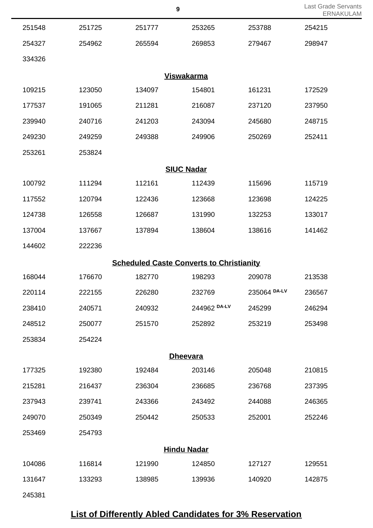| 251548 | 251725 | 251777                                          | 253265             | 253788       | 254215 |
|--------|--------|-------------------------------------------------|--------------------|--------------|--------|
| 254327 | 254962 | 265594                                          | 269853             | 279467       | 298947 |
| 334326 |        |                                                 |                    |              |        |
|        |        |                                                 | <b>Viswakarma</b>  |              |        |
| 109215 | 123050 | 134097                                          | 154801             | 161231       | 172529 |
| 177537 | 191065 | 211281                                          | 216087             | 237120       | 237950 |
| 239940 | 240716 | 241203                                          | 243094             | 245680       | 248715 |
| 249230 | 249259 | 249388                                          | 249906             | 250269       | 252411 |
| 253261 | 253824 |                                                 |                    |              |        |
|        |        |                                                 | <b>SIUC Nadar</b>  |              |        |
| 100792 | 111294 | 112161                                          | 112439             | 115696       | 115719 |
| 117552 | 120794 | 122436                                          | 123668             | 123698       | 124225 |
| 124738 | 126558 | 126687                                          | 131990             | 132253       | 133017 |
| 137004 | 137667 | 137894                                          | 138604             | 138616       | 141462 |
| 144602 | 222236 |                                                 |                    |              |        |
|        |        | <b>Scheduled Caste Converts to Christianity</b> |                    |              |        |
| 168044 | 176670 | 182770                                          | 198293             | 209078       | 213538 |
| 220114 | 222155 | 226280                                          | 232769             | 235064 DA-LV | 236567 |
| 238410 | 240571 | 240932                                          | 244962 DA-LV       | 245299       | 246294 |
| 248512 | 250077 | 251570                                          | 252892             | 253219       | 253498 |
| 253834 | 254224 |                                                 |                    |              |        |
|        |        |                                                 | <b>Dheevara</b>    |              |        |
| 177325 | 192380 | 192484                                          | 203146             | 205048       | 210815 |
| 215281 | 216437 | 236304                                          | 236685             | 236768       | 237395 |
| 237943 | 239741 | 243366                                          | 243492             | 244088       | 246365 |
| 249070 | 250349 | 250442                                          | 250533             | 252001       | 252246 |
| 253469 | 254793 |                                                 |                    |              |        |
|        |        |                                                 | <b>Hindu Nadar</b> |              |        |
| 104086 | 116814 | 121990                                          | 124850             | 127127       | 129551 |
| 131647 | 133293 | 138985                                          | 139936             | 140920       | 142875 |
| 245381 |        |                                                 |                    |              |        |

## **List of Differently Abled Candidates for 3% Reservation**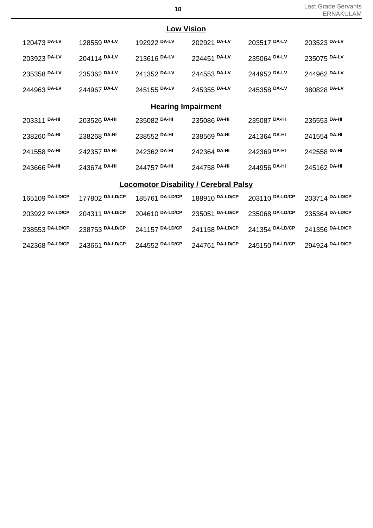|                 | <b>Low Vision</b> |                                              |                 |                 |                 |  |  |  |
|-----------------|-------------------|----------------------------------------------|-----------------|-----------------|-----------------|--|--|--|
| 120473 DA-LV    | 128559 DA-LV      | 192922 DA-LV                                 | 202921 DA-LV    | 203517 DA-LV    | 203523 DA-LV    |  |  |  |
| 203923 DA-LV    | 204114 DA-LV      | 213616 DA-LV                                 | 224451 DA-LV    | 235064 DA-LV    | 235075 DA-LV    |  |  |  |
| 235358 DA-LV    | 235362 DA-LV      | 241352 DA-LV                                 | 244553 DA-LV    | 244952 DA-LV    | 244962 DA-LV    |  |  |  |
| 244963 DA-LV    | 244967 DA-LV      | 245155 DA-LV                                 | 245355 DA-LV    | 245358 DA-LV    | 380828 DA-LV    |  |  |  |
|                 |                   | <b>Hearing Impairment</b>                    |                 |                 |                 |  |  |  |
| 203311 DA-HI    | 203526 DA-HI      | 235082 DA-HI                                 | 235086 DA-HI    | 235087 DA-HI    | 235553 DA-HI    |  |  |  |
| 238260 DA-HI    | 238268 DA-HI      | 238552 DA-HI                                 | 238569 DA-HI    | 241364 DA-HI    | 241554 DA-HI    |  |  |  |
| 241558 DA-HI    | 242357 DA-HI      | 242362 DA-HI                                 | 242364 DA-HI    | 242369 DA-HI    | 242558 DA-HI    |  |  |  |
| 243666 DA-HI    | 243674 DA-HI      | 244757 DA-HI                                 | 244758 DA-HI    | 244956 DA-HI    | 245162 DA-HI    |  |  |  |
|                 |                   | <b>Locomotor Disability / Cerebral Palsy</b> |                 |                 |                 |  |  |  |
| 165109 DA-LD/CP | 177802 DA-LD/CP   | 185761 DA-LD/CP                              | 188910 DA-LD/CP | 203110 DA-LD/CP | 203714 DA-LD/CP |  |  |  |
| 203922 DA-LD/CP | 204311 DA-LD/CP   | 204610 DA-LD/CP                              | 235051 DA-LD/CP | 235068 DA-LD/CP | 235364 DA-LD/CP |  |  |  |
| 238553 DA-LD/CP | 238753 DA-LD/CP   | 241157 DA-LD/CP                              | 241158 DA-LD/CP | 241354 DA-LD/CP | 241356 DA-LD/CP |  |  |  |
| 242368 DA-LD/CP | 243661 DA-LD/CP   | 244552 DA-LD/CP                              | 244761 DA-LD/CP | 245150 DA-LD/CP | 294924 DA-LD/CP |  |  |  |